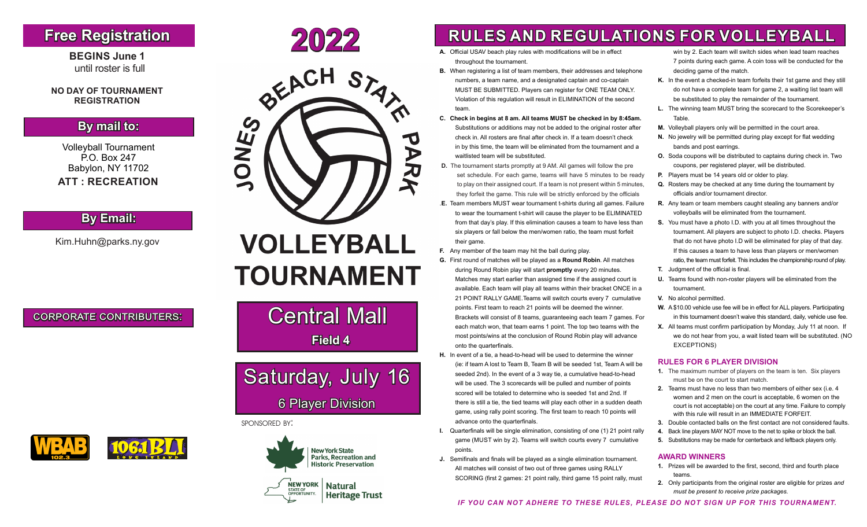## **Free Registration**

**BEGINS June 1** until roster is full

#### **NO DAY OF TOURNAMENT REGISTRATION**

## **By mail to:**

Volleyball Tournament P.O. Box 247 Babylon, NY 11702  **ATT : RECREATION**

### **By Email:**

Kim.Huhn@parks.ny.gov

corporate contributers:







# **TOURNAMENT**

**Central Mall Field 4**

# Saturday, July 16 6 Player Division

#### sponsored by:



- **A.** Official USAV beach play rules with modifications will be in effect throughout the tournament.
- **B.** When registering a list of team members, their addresses and telephone numbers, a team name, and a designated captain and co-captain MUST BE SUBMITTED. Players can register for ONE TEAM ONLY. Violation of this regulation will result in ELIMINATION of the second team.
- **C. Check in begins at 8 am. All teams MUST be checked in by 8:45am.**  Substitutions or additions may not be added to the original roster after check in. All rosters are final after check in. If a team doesn't check in by this time, the team will be eliminated from the tournament and a waitlisted team will be substituted.
- **D.** The tournament starts promptly at 9 AM. All games will follow the pre set schedule. For each game, teams will have 5 minutes to be ready to play on their assigned court. If a team is not present within 5 minutes, they forfeit the game. This rule will be strictly enforced by the officials
- .**E.** Team members MUST wear tournament t-shirts during all games. Failure to wear the tournament t-shirt will cause the player to be ELIMINATED from that day's play. If this elimination causes a team to have less than six players or fall below the men/women ratio, the team must forfeit their game.
- **F.** Any member of the team may hit the ball during play.
- **G.** First round of matches will be played as a **Round Robin**. All matches during Round Robin play will start **promptly** every 20 minutes. Matches may start earlier than assigned time if the assigned court is available. Each team will play all teams within their bracket ONCE in a 21 POINT RALLY GAME.Teams will switch courts every 7 cumulative points. First team to reach 21 points will be deemed the winner. Brackets will consist of 8 teams, guaranteeing each team 7 games. For each match won, that team earns 1 point. The top two teams with the most points/wins at the conclusion of Round Robin play will advance onto the quarterfinals.
- **H.** In event of a tie, a head-to-head will be used to determine the winner (ie: if team A lost to Team B, Team B will be seeded 1st, Team A will be seeded 2nd). In the event of a 3 way tie, a cumulative head-to-head will be used. The 3 scorecards will be pulled and number of points scored will be totaled to determine who is seeded 1st and 2nd. If there is still a tie, the tied teams will play each other in a sudden death game, using rally point scoring. The first team to reach 10 points will advance onto the quarterfinals.
- **I.** Quarterfinals will be single elimination, consisting of one (1) 21 point rally game (MUST win by 2). Teams will switch courts every 7 cumulative points.
- **J.** Semifinals and finals will be played as a single elimination tournament. All matches will consist of two out of three games using RALLY SCORING (first 2 games: 21 point rally, third game 15 point rally, must

win by 2. Each team will switch sides when lead team reaches 7 points during each game. A coin toss will be conducted for the deciding game of the match.

- **K.** In the event a checked-in team forfeits their 1st game and they still do not have a complete team for game 2, a waiting list team will be substituted to play the remainder of the tournament.
- **L.** The winning team MUST bring the scorecard to the Scorekeeper's Table.
- **M.** Volleyball players only will be permitted in the court area.
- **N.** No jewelry will be permitted during play except for flat wedding bands and post earrings.
- **O.** Soda coupons will be distributed to captains during check in. Two coupons, per registered player, will be distributed.
- **P.** Players must be 14 years old or older to play.
- **Q.** Rosters may be checked at any time during the tournament by officials and/or tournament director.
- **R.** Any team or team members caught stealing any banners and/or volleyballs will be eliminated from the tournament.
- **S.** You must have a photo I.D. with you at all times throughout the tournament. All players are subject to photo I.D. checks. Players that do not have photo I.D will be eliminated for play of that day. If this causes a team to have less than players or men/women ratio, the team must forfeit. This includes the championship round of play.
- **T.** Judgment of the official is final.
- **U.** Teams found with non-roster players will be eliminated from the tournament.
- **V.** No alcohol permitted.
- **W.** A \$10.00 vehicle use fee will be in effect for ALL players. Participating in this tournament doesn't waive this standard, daily, vehicle use fee.
- **X.** All teams must confirm participation by Monday, July 11 at noon. If we do not hear from you, a wait listed team will be substituted. (NO EXCEPTIONS)

#### **RULES FOR 6 PLAYER DIVISION**

- **1.** The maximum number of players on the team is ten. Six players must be on the court to start match.
- **2.** Teams must have no less than two members of either sex (i.e. 4 women and 2 men on the court is acceptable, 6 women on the court is not acceptable) on the court at any time. Failure to comply with this rule will result in an IMMEDIATE FORFEIT.
- **3.** Double contacted balls on the first contact are not considered faults.
- **4.** Back line players MAY NOT move to the net to spike or block the ball.
- **5.** Substitutions may be made for centerback and leftback players only.

#### **AWARD WINNERS**

- **1.** Prizes will be awarded to the first, second, third and fourth place teams.
- **2.** Only participants from the original roster are eligible for prizes *and must be present to receive prize packages.*